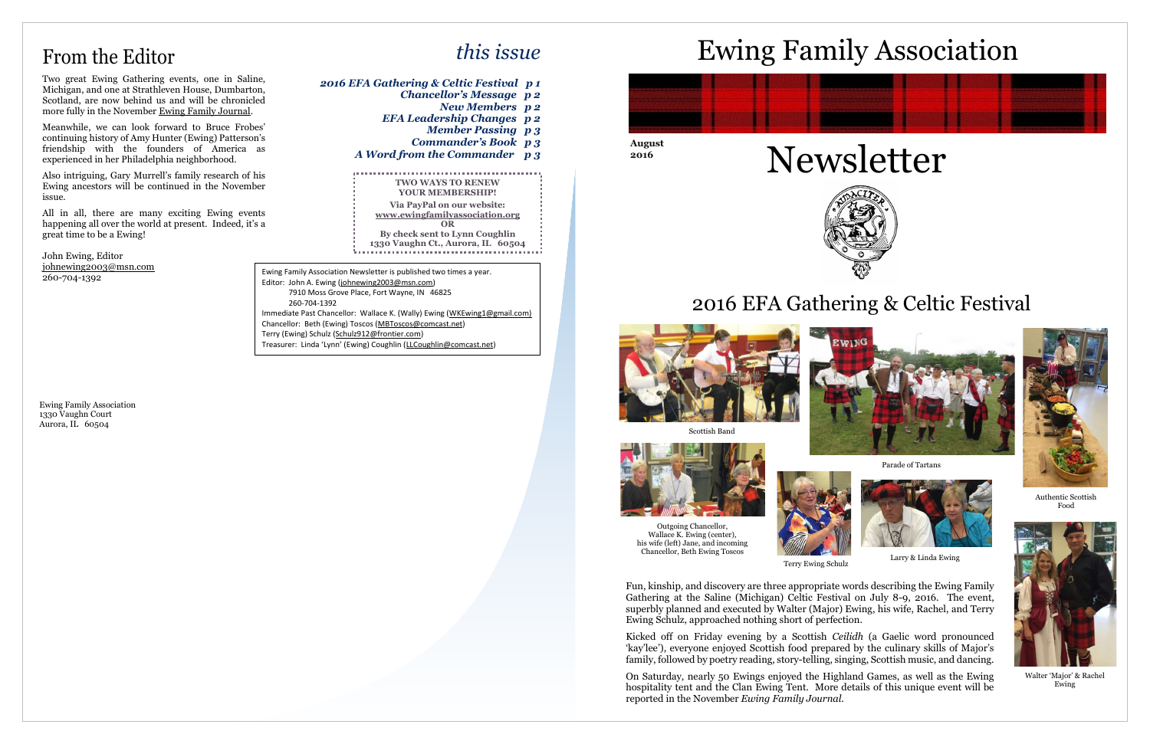**August 2016**



# From the Editor

Two great Ewing Gathering events, one in Saline, Michigan, and one at Strathleven House, Dumbarton, Scotland, are now behind us and will be chronicled more fully in the November Ewing Family Journal.

Meanwhile, we can look forward to Bruce Frobes' continuing history of Amy Hunter (Ewing) Patterson's friendship with the founders of America as experienced in her Philadelphia neighborhood.

Also intriguing, Gary Murrell's family research of his Ewing ancestors will be continued in the November issue.

All in all, there are many exciting Ewing events happening all over the world at present. Indeed, it's a great time to be a Ewing!

John Ewing, Editor [johnewing2003@msn.com](mailto:johnewing2003@msn.com) 260-704-1392

Ewing Family Association 1330 Vaughn Court Aurora, IL 60504



# Ewing Family Association



 7910 Moss Grove Place, Fort Wayne, IN 46825 260-704-1392 Immediate Past Chancellor: Wallace K. (Wally) Ewing [\(WKEwing1@gmail.com\)](mailto:WKEwing1@gmail.com) Chancellor: Beth (Ewing) Toscos [\(MBToscos@comcast.net\)](mailto:MBToscos@comcast.net) Terry (Ewing) Schulz [\(Schulz912@frontier.com\)](mailto:Schulz912@frontier.com) Treasurer: Linda 'Lynn' (Ewing) Coughlin ([LLCoughlin@comcast.net\)](mailto:LLCoughlin@comcast.net)

# 2016 EFA Gathering & Celtic Festival



## *this issue*

*2016 EFA Gathering & Celtic Festival p 1 Chancellor's Message p 2 New Members p 2 EFA Leadership Changes p 2 Member Passing p 3 Commander's Book p 3 A Word from the Commander p 3* **TWO WAYS TO RENEW YOUR MEMBERSHIP! Via PayPal on our website: [www.ewingfamilyassociation.org](http://www.ewingfamilyassociation.org/) OR By check sent to Lynn Coughlin 1330 Vaughn Ct., Aurora, IL 60504** Ewing Family Association Newsletter is published two times a year. Editor: John A. Ewing [\(johnewing2003@msn.com\)](mailto:johnewing2003@msn.com)

> Fun, kinship, and discovery are three appropriate words describing the Ewing Family Gathering at the Saline (Michigan) Celtic Festival on July 8-9, 2016. The event, superbly planned and executed by Walter (Major) Ewing, his wife, Rachel, and Terry Ewing Schulz, approached nothing short of perfection.

> Kicked off on Friday evening by a Scottish *Ceilidh* (a Gaelic word pronounced 'kay'lee'), everyone enjoyed Scottish food prepared by the culinary skills of Major's family, followed by poetry reading, story-telling, singing, Scottish music, and dancing.

> On Saturday, nearly 50 Ewings enjoyed the Highland Games, as well as the Ewing hospitality tent and the Clan Ewing Tent. More details of this unique event will be reported in the November *Ewing Family Journal*.

Scottish Band







Parade of Tartans





Terry Ewing Schulz Larry & Linda Ewing



Authentic Scottish Food

Outgoing Chancellor, Wallace K. Ewing (center), his wife (left) Jane, and incoming Chancellor, Beth Ewing Toscos



Walter 'Major' & Rachel Ewing